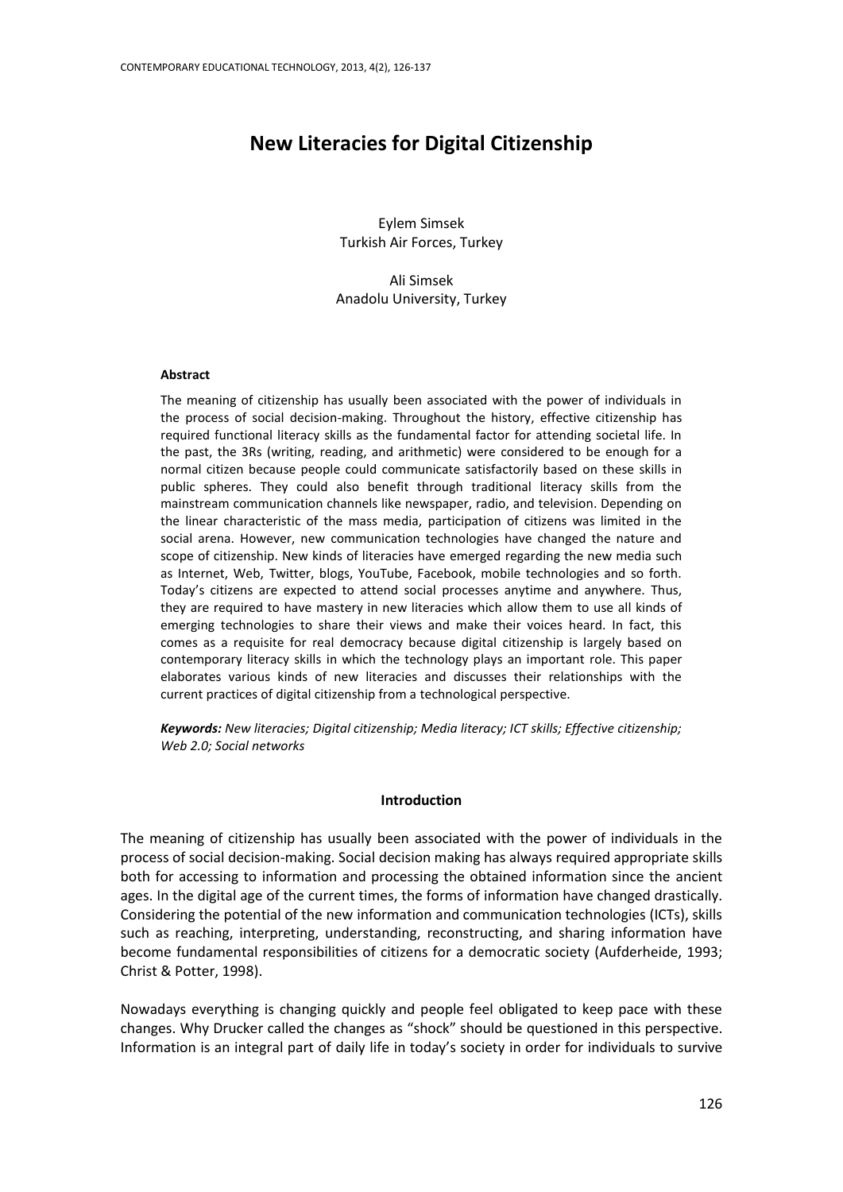# **New Literacies for Digital Citizenship**

Eylem Simsek Turkish Air Forces, Turkey

Ali Simsek Anadolu University, Turkey

#### **Abstract**

The meaning of citizenship has usually been associated with the power of individuals in the process of social decision-making. Throughout the history, effective citizenship has required functional literacy skills as the fundamental factor for attending societal life. In the past, the 3Rs (writing, reading, and arithmetic) were considered to be enough for a normal citizen because people could communicate satisfactorily based on these skills in public spheres. They could also benefit through traditional literacy skills from the mainstream communication channels like newspaper, radio, and television. Depending on the linear characteristic of the mass media, participation of citizens was limited in the social arena. However, new communication technologies have changed the nature and scope of citizenship. New kinds of literacies have emerged regarding the new media such as Internet, Web, Twitter, blogs, YouTube, Facebook, mobile technologies and so forth. Today's citizens are expected to attend social processes anytime and anywhere. Thus, they are required to have mastery in new literacies which allow them to use all kinds of emerging technologies to share their views and make their voices heard. In fact, this comes as a requisite for real democracy because digital citizenship is largely based on contemporary literacy skills in which the technology plays an important role. This paper elaborates various kinds of new literacies and discusses their relationships with the current practices of digital citizenship from a technological perspective.

*Keywords: New literacies; Digital citizenship; Media literacy; ICT skills; Effective citizenship; Web 2.0; Social networks*

#### **Introduction**

The meaning of citizenship has usually been associated with the power of individuals in the process of social decision-making. Social decision making has always required appropriate skills both for accessing to information and processing the obtained information since the ancient ages. In the digital age of the current times, the forms of information have changed drastically. Considering the potential of the new information and communication technologies (ICTs), skills such as reaching, interpreting, understanding, reconstructing, and sharing information have become fundamental responsibilities of citizens for a democratic society (Aufderheide, 1993; Christ & Potter, 1998).

Nowadays everything is changing quickly and people feel obligated to keep pace with these changes. Why Drucker called the changes as "shock" should be questioned in this perspective. Information is an integral part of daily life in today's society in order for individuals to survive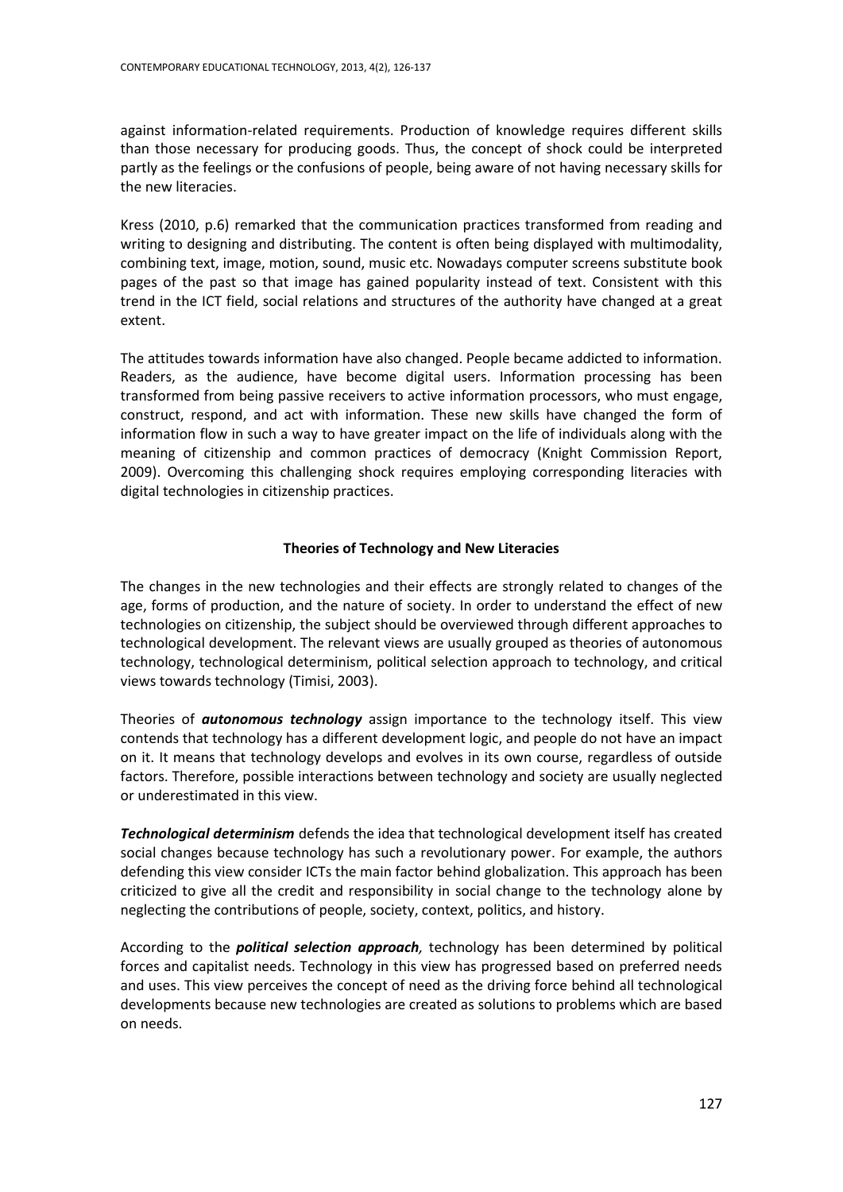against information-related requirements. Production of knowledge requires different skills than those necessary for producing goods. Thus, the concept of shock could be interpreted partly as the feelings or the confusions of people, being aware of not having necessary skills for the new literacies.

Kress (2010, p.6) remarked that the communication practices transformed from reading and writing to designing and distributing. The content is often being displayed with multimodality, combining text, image, motion, sound, music etc. Nowadays computer screens substitute book pages of the past so that image has gained popularity instead of text. Consistent with this trend in the ICT field, social relations and structures of the authority have changed at a great extent.

The attitudes towards information have also changed. People became addicted to information. Readers, as the audience, have become digital users. Information processing has been transformed from being passive receivers to active information processors, who must engage, construct, respond, and act with information. These new skills have changed the form of information flow in such a way to have greater impact on the life of individuals along with the meaning of citizenship and common practices of democracy (Knight Commission Report, 2009). Overcoming this challenging shock requires employing corresponding literacies with digital technologies in citizenship practices.

## **Theories of Technology and New Literacies**

The changes in the new technologies and their effects are strongly related to changes of the age, forms of production, and the nature of society. In order to understand the effect of new technologies on citizenship, the subject should be overviewed through different approaches to technological development. The relevant views are usually grouped as theories of autonomous technology, technological determinism, political selection approach to technology, and critical views towards technology (Timisi, 2003).

Theories of *autonomous technology* assign importance to the technology itself. This view contends that technology has a different development logic, and people do not have an impact on it. It means that technology develops and evolves in its own course, regardless of outside factors. Therefore, possible interactions between technology and society are usually neglected or underestimated in this view.

*Technological determinism* defends the idea that technological development itself has created social changes because technology has such a revolutionary power. For example, the authors defending this view consider ICTs the main factor behind globalization. This approach has been criticized to give all the credit and responsibility in social change to the technology alone by neglecting the contributions of people, society, context, politics, and history.

According to the *political selection approach,* technology has been determined by political forces and capitalist needs. Technology in this view has progressed based on preferred needs and uses. This view perceives the concept of need as the driving force behind all technological developments because new technologies are created as solutions to problems which are based on needs.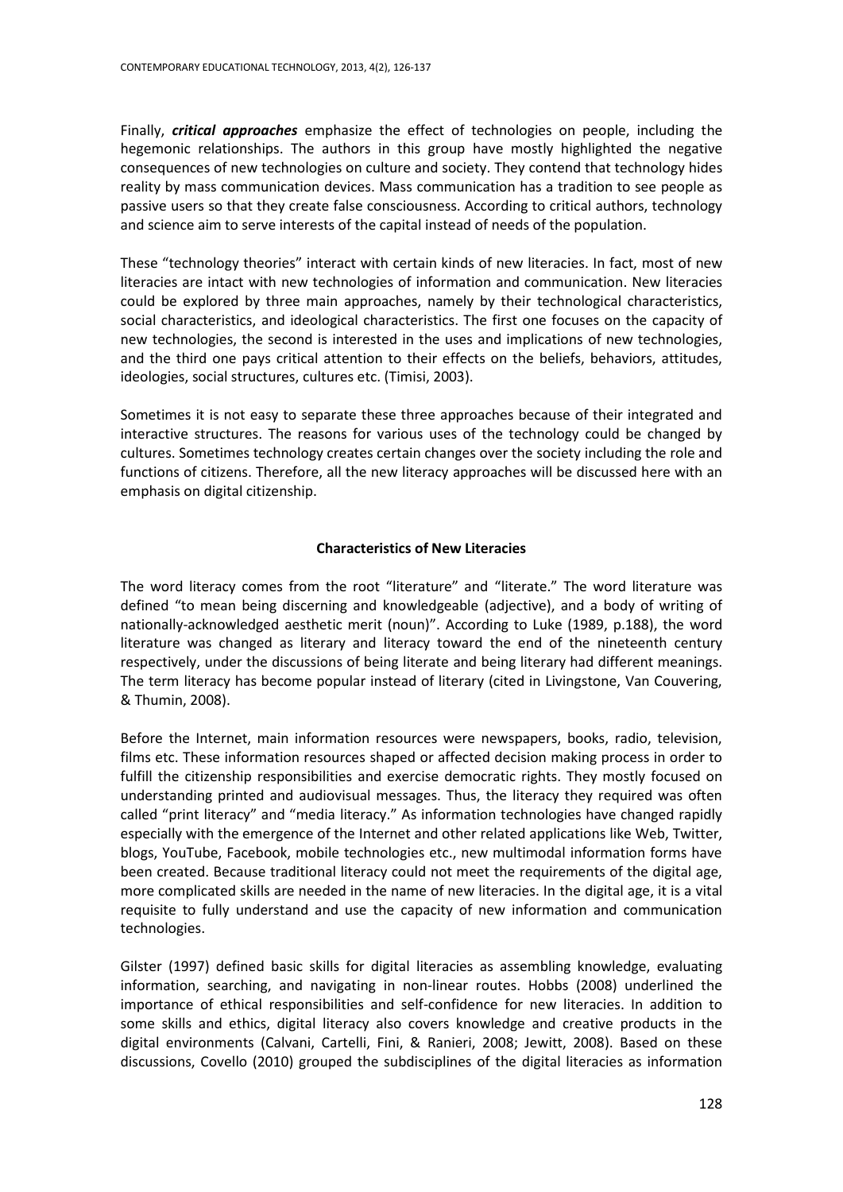Finally, *critical approaches* emphasize the effect of technologies on people, including the hegemonic relationships. The authors in this group have mostly highlighted the negative consequences of new technologies on culture and society. They contend that technology hides reality by mass communication devices. Mass communication has a tradition to see people as passive users so that they create false consciousness. According to critical authors, technology and science aim to serve interests of the capital instead of needs of the population.

These "technology theories" interact with certain kinds of new literacies. In fact, most of new literacies are intact with new technologies of information and communication. New literacies could be explored by three main approaches, namely by their technological characteristics, social characteristics, and ideological characteristics. The first one focuses on the capacity of new technologies, the second is interested in the uses and implications of new technologies, and the third one pays critical attention to their effects on the beliefs, behaviors, attitudes, ideologies, social structures, cultures etc. (Timisi, 2003).

Sometimes it is not easy to separate these three approaches because of their integrated and interactive structures. The reasons for various uses of the technology could be changed by cultures. Sometimes technology creates certain changes over the society including the role and functions of citizens. Therefore, all the new literacy approaches will be discussed here with an emphasis on digital citizenship.

## **Characteristics of New Literacies**

The word literacy comes from the root "literature" and "literate." The word literature was defined "to mean being discerning and knowledgeable (adjective), and a body of writing of nationally-acknowledged aesthetic merit (noun)". According to Luke (1989, p.188), the word literature was changed as literary and literacy toward the end of the nineteenth century respectively, under the discussions of being literate and being literary had different meanings. The term literacy has become popular instead of literary (cited in Livingstone, Van Couvering, & Thumin, 2008).

Before the Internet, main information resources were newspapers, books, radio, television, films etc. These information resources shaped or affected decision making process in order to fulfill the citizenship responsibilities and exercise democratic rights. They mostly focused on understanding printed and audiovisual messages. Thus, the literacy they required was often called "print literacy" and "media literacy." As information technologies have changed rapidly especially with the emergence of the Internet and other related applications like Web, Twitter, blogs, YouTube, Facebook, mobile technologies etc., new multimodal information forms have been created. Because traditional literacy could not meet the requirements of the digital age, more complicated skills are needed in the name of new literacies. In the digital age, it is a vital requisite to fully understand and use the capacity of new information and communication technologies.

Gilster (1997) defined basic skills for digital literacies as assembling knowledge, evaluating information, searching, and navigating in non-linear routes. Hobbs (2008) underlined the importance of ethical responsibilities and self-confidence for new literacies. In addition to some skills and ethics, digital literacy also covers knowledge and creative products in the digital environments (Calvani, Cartelli, Fini, & Ranieri, 2008; Jewitt, 2008). Based on these discussions, Covello (2010) grouped the subdisciplines of the digital literacies as information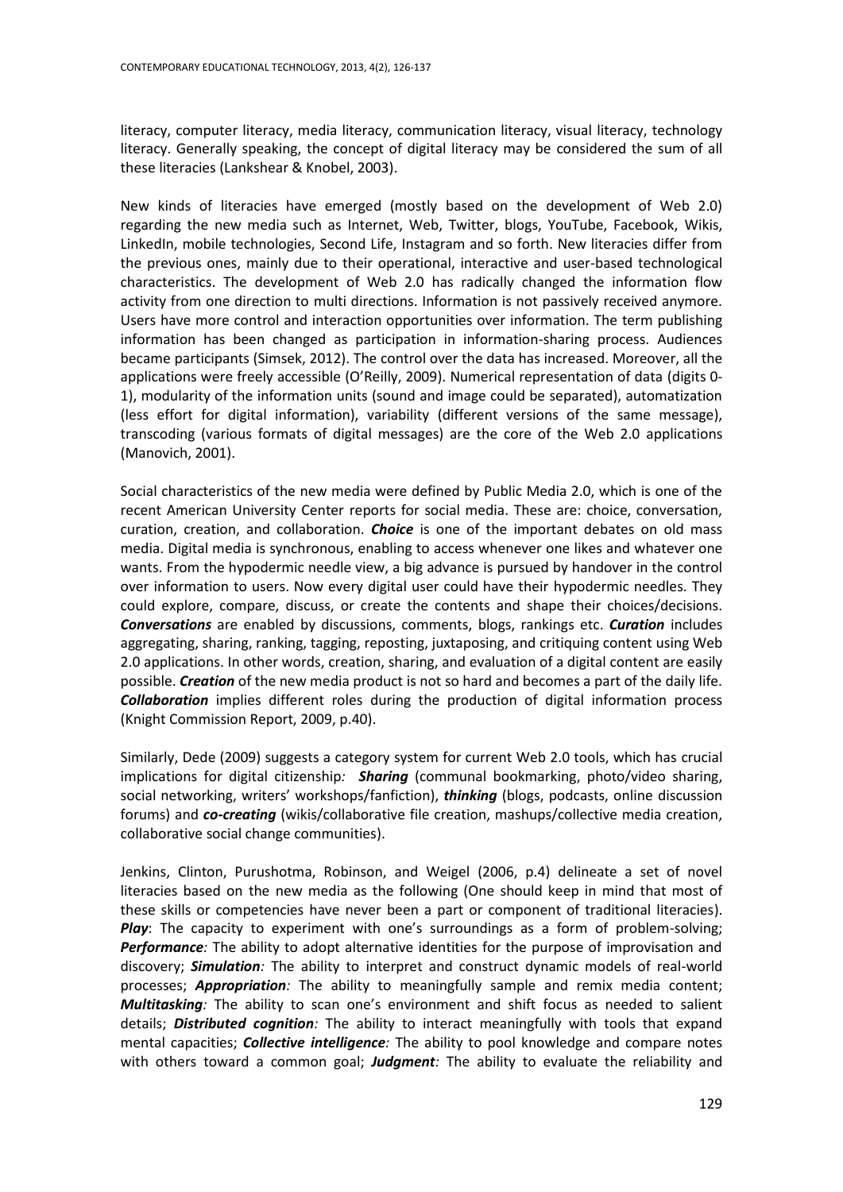literacy, computer literacy, media literacy, communication literacy, visual literacy, technology literacy. Generally speaking, the concept of digital literacy may be considered the sum of all these literacies (Lankshear & Knobel, 2003).

New kinds of literacies have emerged (mostly based on the development of Web 2.0) regarding the new media such as Internet, Web, Twitter, blogs, YouTube, Facebook, Wikis, LinkedIn, mobile technologies, Second Life, Instagram and so forth. New literacies differ from the previous ones, mainly due to their operational, interactive and user-based technological characteristics. The development of Web 2.0 has radically changed the information flow activity from one direction to multi directions. Information is not passively received anymore. Users have more control and interaction opportunities over information. The term publishing information has been changed as participation in information-sharing process. Audiences became participants (Simsek, 2012). The control over the data has increased. Moreover, all the applications were freely accessible (O'Reilly, 2009). Numerical representation of data (digits 0- 1), modularity of the information units (sound and image could be separated), automatization (less effort for digital information), variability (different versions of the same message), transcoding (various formats of digital messages) are the core of the Web 2.0 applications (Manovich, 2001).

Social characteristics of the new media were defined by Public Media 2.0, which is one of the recent American University Center reports for social media. These are: choice, conversation, curation, creation, and collaboration. *Choice* is one of the important debates on old mass media. Digital media is synchronous, enabling to access whenever one likes and whatever one wants. From the hypodermic needle view, a big advance is pursued by handover in the control over information to users. Now every digital user could have their hypodermic needles. They could explore, compare, discuss, or create the contents and shape their choices/decisions. *Conversations* are enabled by discussions, comments, blogs, rankings etc. *Curation* includes aggregating, sharing, ranking, tagging, reposting, juxtaposing, and critiquing content using Web 2.0 applications. In other words, creation, sharing, and evaluation of a digital content are easily possible. *Creation* of the new media product is not so hard and becomes a part of the daily life. *Collaboration* implies different roles during the production of digital information process (Knight Commission Report, 2009, p.40).

Similarly, Dede (2009) suggests a category system for current Web 2.0 tools, which has crucial implications for digital citizenship*: Sharing* (communal bookmarking, photo/video sharing, social networking, writers' workshops/fanfiction), *thinking* (blogs, podcasts, online discussion forums) and *co-creating* (wikis/collaborative file creation, mashups/collective media creation, collaborative social change communities).

Jenkins, Clinton, Purushotma, Robinson, and Weigel (2006, p.4) delineate a set of novel literacies based on the new media as the following (One should keep in mind that most of these skills or competencies have never been a part or component of traditional literacies). *Play*: The capacity to experiment with one's surroundings as a form of problem-solving; *Performance:* The ability to adopt alternative identities for the purpose of improvisation and discovery; *Simulation:* The ability to interpret and construct dynamic models of real-world processes; *Appropriation:* The ability to meaningfully sample and remix media content; *Multitasking:* The ability to scan one's environment and shift focus as needed to salient details; *Distributed cognition:* The ability to interact meaningfully with tools that expand mental capacities; *Collective intelligence:* The ability to pool knowledge and compare notes with others toward a common goal; *Judgment:* The ability to evaluate the reliability and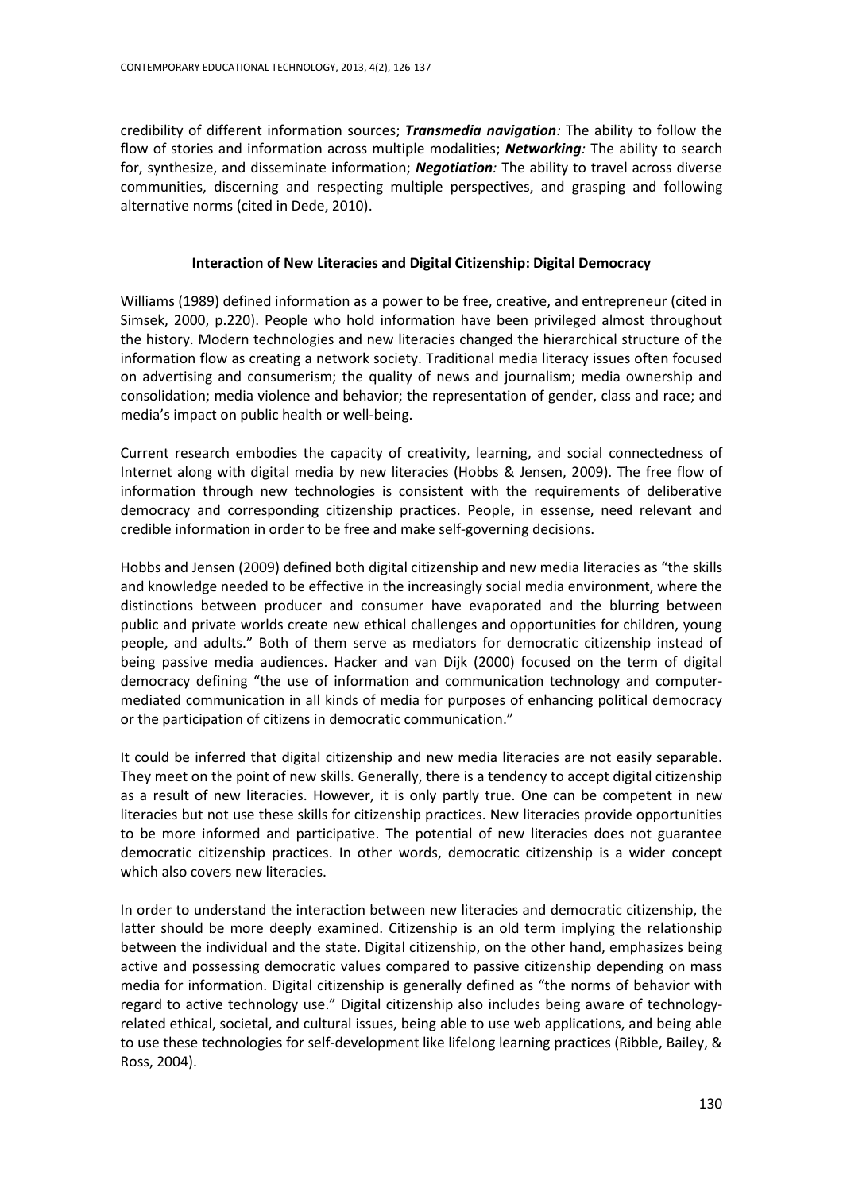credibility of different information sources; *Transmedia navigation:* The ability to follow the flow of stories and information across multiple modalities; *Networking:* The ability to search for, synthesize, and disseminate information; *Negotiation:* The ability to travel across diverse communities, discerning and respecting multiple perspectives, and grasping and following alternative norms (cited in Dede, 2010).

## **Interaction of New Literacies and Digital Citizenship: Digital Democracy**

Williams (1989) defined information as a power to be free, creative, and entrepreneur (cited in Simsek, 2000, p.220). People who hold information have been privileged almost throughout the history. Modern technologies and new literacies changed the hierarchical structure of the information flow as creating a network society. Traditional media literacy issues often focused on advertising and consumerism; the quality of news and journalism; media ownership and consolidation; media violence and behavior; the representation of gender, class and race; and media's impact on public health or well-being.

Current research embodies the capacity of creativity, learning, and social connectedness of Internet along with digital media by new literacies (Hobbs & Jensen, 2009). The free flow of information through new technologies is consistent with the requirements of deliberative democracy and corresponding citizenship practices. People, in essense, need relevant and credible information in order to be free and make self-governing decisions.

Hobbs and Jensen (2009) defined both digital citizenship and new media literacies as "the skills and knowledge needed to be effective in the increasingly social media environment, where the distinctions between producer and consumer have evaporated and the blurring between public and private worlds create new ethical challenges and opportunities for children, young people, and adults." Both of them serve as mediators for democratic citizenship instead of being passive media audiences. Hacker and van Dijk (2000) focused on the term of digital democracy defining "the use of information and communication technology and computermediated communication in all kinds of media for purposes of enhancing political democracy or the participation of citizens in democratic communication."

It could be inferred that digital citizenship and new media literacies are not easily separable. They meet on the point of new skills. Generally, there is a tendency to accept digital citizenship as a result of new literacies. However, it is only partly true. One can be competent in new literacies but not use these skills for citizenship practices. New literacies provide opportunities to be more informed and participative. The potential of new literacies does not guarantee democratic citizenship practices. In other words, democratic citizenship is a wider concept which also covers new literacies.

In order to understand the interaction between new literacies and democratic citizenship, the latter should be more deeply examined. Citizenship is an old term implying the relationship between the individual and the state. Digital citizenship, on the other hand, emphasizes being active and possessing democratic values compared to passive citizenship depending on mass media for information. Digital citizenship is generally defined as "the norms of behavior with regard to active technology use." Digital citizenship also includes being aware of technologyrelated ethical, societal, and cultural issues, being able to use web applications, and being able to use these technologies for self-development like lifelong learning practices (Ribble, Bailey, & Ross, 2004).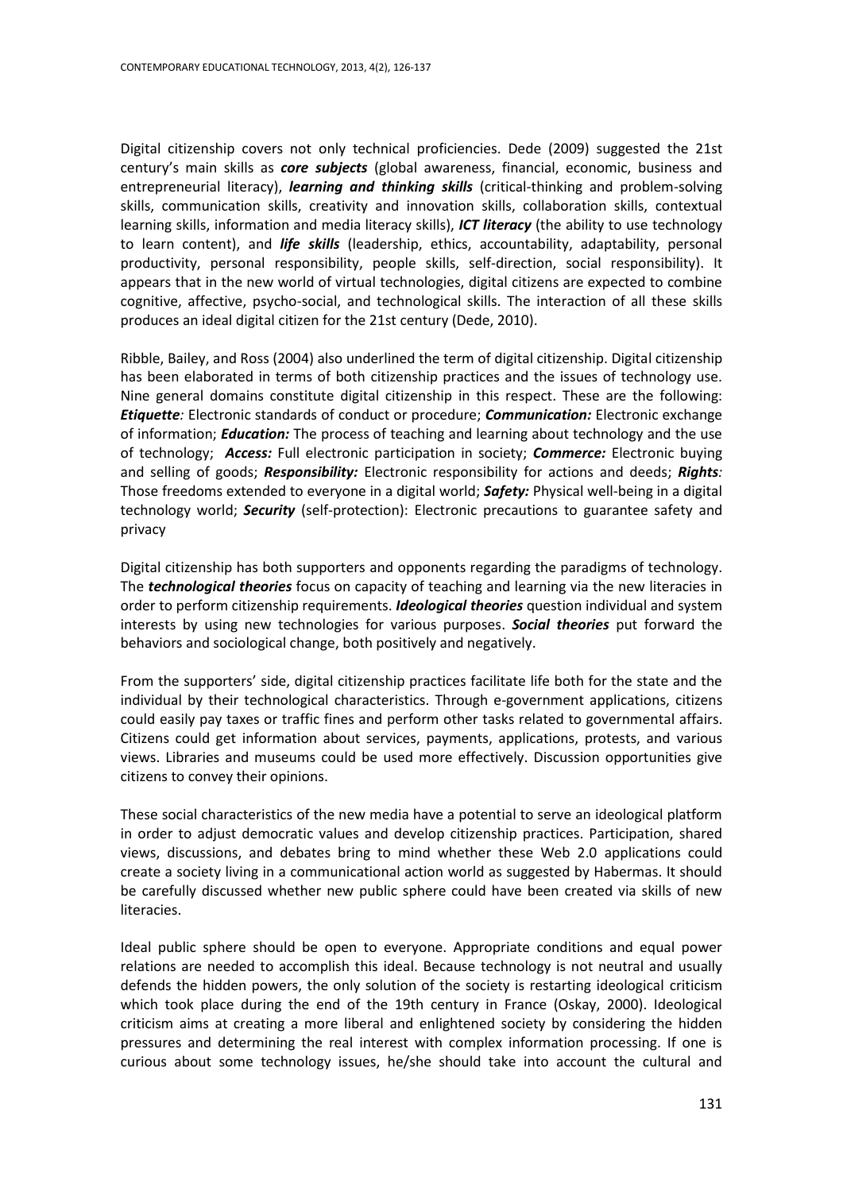Digital citizenship covers not only technical proficiencies. Dede (2009) suggested the 21st century's main skills as *core subjects* (global awareness, financial, economic, business and entrepreneurial literacy), *learning and thinking skills* (critical-thinking and problem-solving skills, communication skills, creativity and innovation skills, collaboration skills, contextual learning skills, information and media literacy skills), *ICT literacy* (the ability to use technology to learn content), and *life skills* (leadership, ethics, accountability, adaptability, personal productivity, personal responsibility, people skills, self-direction, social responsibility). It appears that in the new world of virtual technologies, digital citizens are expected to combine cognitive, affective, psycho-social, and technological skills. The interaction of all these skills produces an ideal digital citizen for the 21st century (Dede, 2010).

Ribble, Bailey, and Ross (2004) also underlined the term of digital citizenship. Digital citizenship has been elaborated in terms of both citizenship practices and the issues of technology use. Nine general domains constitute digital citizenship in this respect. These are the following: *Etiquette:* Electronic standards of conduct or procedure; *Communication:* Electronic exchange of information; *Education:* The process of teaching and learning about technology and the use of technology; *Access:* Full electronic participation in society; *Commerce:* Electronic buying and selling of goods; *Responsibility:* Electronic responsibility for actions and deeds; *Rights:*  Those freedoms extended to everyone in a digital world; *Safety:* Physical well-being in a digital technology world; *Security* (self-protection): Electronic precautions to guarantee safety and privacy

Digital citizenship has both supporters and opponents regarding the paradigms of technology. The *technological theories* focus on capacity of teaching and learning via the new literacies in order to perform citizenship requirements. *Ideological theories* question individual and system interests by using new technologies for various purposes. *Social theories* put forward the behaviors and sociological change, both positively and negatively.

From the supporters' side, digital citizenship practices facilitate life both for the state and the individual by their technological characteristics. Through e-government applications, citizens could easily pay taxes or traffic fines and perform other tasks related to governmental affairs. Citizens could get information about services, payments, applications, protests, and various views. Libraries and museums could be used more effectively. Discussion opportunities give citizens to convey their opinions.

These social characteristics of the new media have a potential to serve an ideological platform in order to adjust democratic values and develop citizenship practices. Participation, shared views, discussions, and debates bring to mind whether these Web 2.0 applications could create a society living in a communicational action world as suggested by Habermas. It should be carefully discussed whether new public sphere could have been created via skills of new literacies.

Ideal public sphere should be open to everyone. Appropriate conditions and equal power relations are needed to accomplish this ideal. Because technology is not neutral and usually defends the hidden powers, the only solution of the society is restarting ideological criticism which took place during the end of the 19th century in France (Oskay, 2000). Ideological criticism aims at creating a more liberal and enlightened society by considering the hidden pressures and determining the real interest with complex information processing. If one is curious about some technology issues, he/she should take into account the cultural and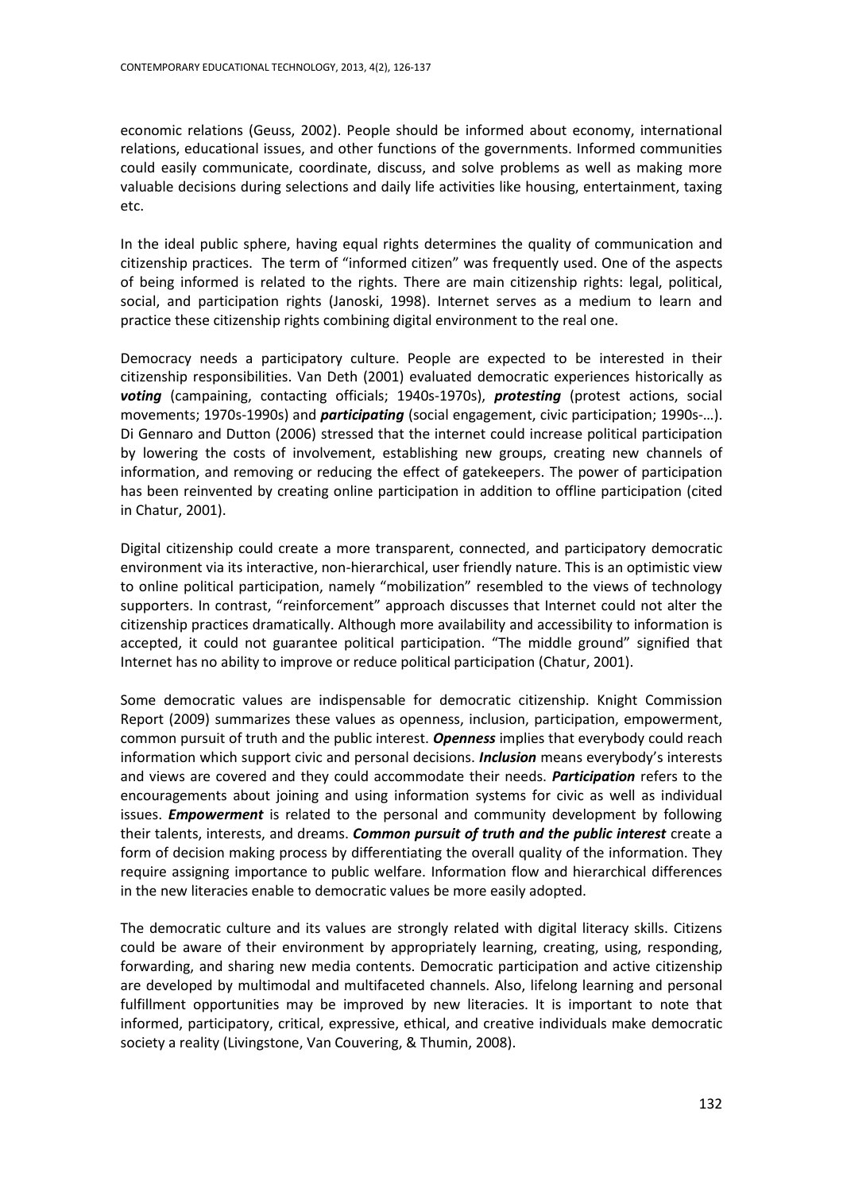economic relations (Geuss, 2002). People should be informed about economy, international relations, educational issues, and other functions of the governments. Informed communities could easily communicate, coordinate, discuss, and solve problems as well as making more valuable decisions during selections and daily life activities like housing, entertainment, taxing etc.

In the ideal public sphere, having equal rights determines the quality of communication and citizenship practices. The term of "informed citizen" was frequently used. One of the aspects of being informed is related to the rights. There are main citizenship rights: legal, political, social, and participation rights (Janoski, 1998). Internet serves as a medium to learn and practice these citizenship rights combining digital environment to the real one.

Democracy needs a participatory culture. People are expected to be interested in their citizenship responsibilities. Van Deth (2001) evaluated democratic experiences historically as *voting* (campaining, contacting officials; 1940s-1970s), *protesting* (protest actions, social movements; 1970s-1990s) and *participating* (social engagement, civic participation; 1990s-…). Di Gennaro and Dutton (2006) stressed that the internet could increase political participation by lowering the costs of involvement, establishing new groups, creating new channels of information, and removing or reducing the effect of gatekeepers. The power of participation has been reinvented by creating online participation in addition to offline participation (cited in Chatur, 2001).

Digital citizenship could create a more transparent, connected, and participatory democratic environment via its interactive, non-hierarchical, user friendly nature. This is an optimistic view to online political participation, namely "mobilization" resembled to the views of technology supporters. In contrast, "reinforcement" approach discusses that Internet could not alter the citizenship practices dramatically. Although more availability and accessibility to information is accepted, it could not guarantee political participation. "The middle ground" signified that Internet has no ability to improve or reduce political participation (Chatur, 2001).

Some democratic values are indispensable for democratic citizenship. Knight Commission Report (2009) summarizes these values as openness, inclusion, participation, empowerment, common pursuit of truth and the public interest. *Openness* implies that everybody could reach information which support civic and personal decisions. *Inclusion* means everybody's interests and views are covered and they could accommodate their needs. *Participation* refers to the encouragements about joining and using information systems for civic as well as individual issues. *Empowerment* is related to the personal and community development by following their talents, interests, and dreams. *Common pursuit of truth and the public interest* create a form of decision making process by differentiating the overall quality of the information. They require assigning importance to public welfare. Information flow and hierarchical differences in the new literacies enable to democratic values be more easily adopted.

The democratic culture and its values are strongly related with digital literacy skills. Citizens could be aware of their environment by appropriately learning, creating, using, responding, forwarding, and sharing new media contents. Democratic participation and active citizenship are developed by multimodal and multifaceted channels. Also, lifelong learning and personal fulfillment opportunities may be improved by new literacies. It is important to note that informed, participatory, critical, expressive, ethical, and creative individuals make democratic society a reality (Livingstone, Van Couvering, & Thumin, 2008).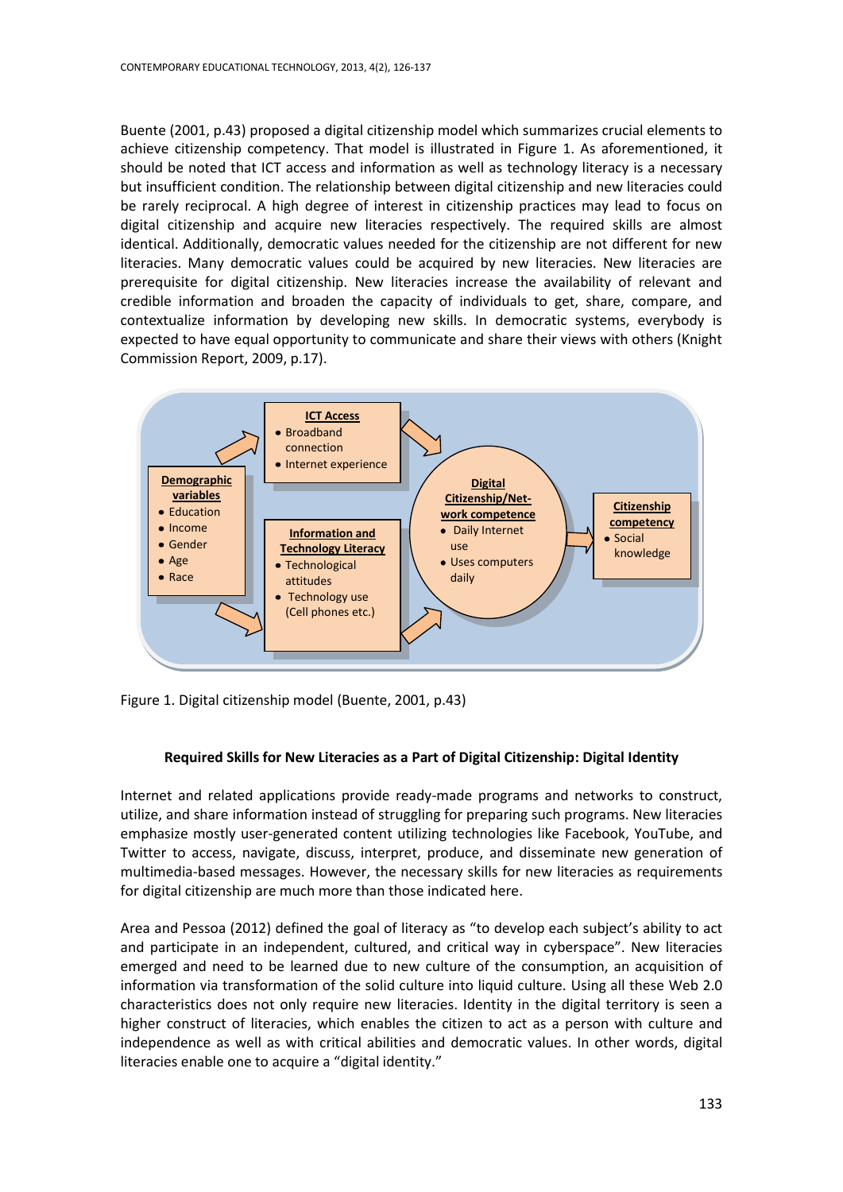Buente (2001, p.43) proposed a digital citizenship model which summarizes crucial elements to achieve citizenship competency. That model is illustrated in Figure 1. As aforementioned, it should be noted that ICT access and information as well as technology literacy is a necessary but insufficient condition. The relationship between digital citizenship and new literacies could be rarely reciprocal. A high degree of interest in citizenship practices may lead to focus on digital citizenship and acquire new literacies respectively. The required skills are almost identical. Additionally, democratic values needed for the citizenship are not different for new literacies. Many democratic values could be acquired by new literacies. New literacies are prerequisite for digital citizenship. New literacies increase the availability of relevant and credible information and broaden the capacity of individuals to get, share, compare, and contextualize information by developing new skills. In democratic systems, everybody is expected to have equal opportunity to communicate and share their views with others (Knight Commission Report, 2009, p.17).



Figure 1. Digital citizenship model (Buente, 2001, p.43)

### **Required Skills for New Literacies as a Part of Digital Citizenship: Digital Identity**

Internet and related applications provide ready-made programs and networks to construct, utilize, and share information instead of struggling for preparing such programs. New literacies emphasize mostly user-generated content utilizing technologies like Facebook, YouTube, and Twitter to access, navigate, discuss, interpret, produce, and disseminate new generation of multimedia-based messages. However, the necessary skills for new literacies as requirements for digital citizenship are much more than those indicated here.

Area and Pessoa (2012) defined the goal of literacy as "to develop each subject's ability to act and participate in an independent, cultured, and critical way in cyberspace". New literacies emerged and need to be learned due to new culture of the consumption, an acquisition of information via transformation of the solid culture into liquid culture. Using all these Web 2.0 characteristics does not only require new literacies. Identity in the digital territory is seen a higher construct of literacies, which enables the citizen to act as a person with culture and independence as well as with critical abilities and democratic values. In other words, digital literacies enable one to acquire a "digital identity."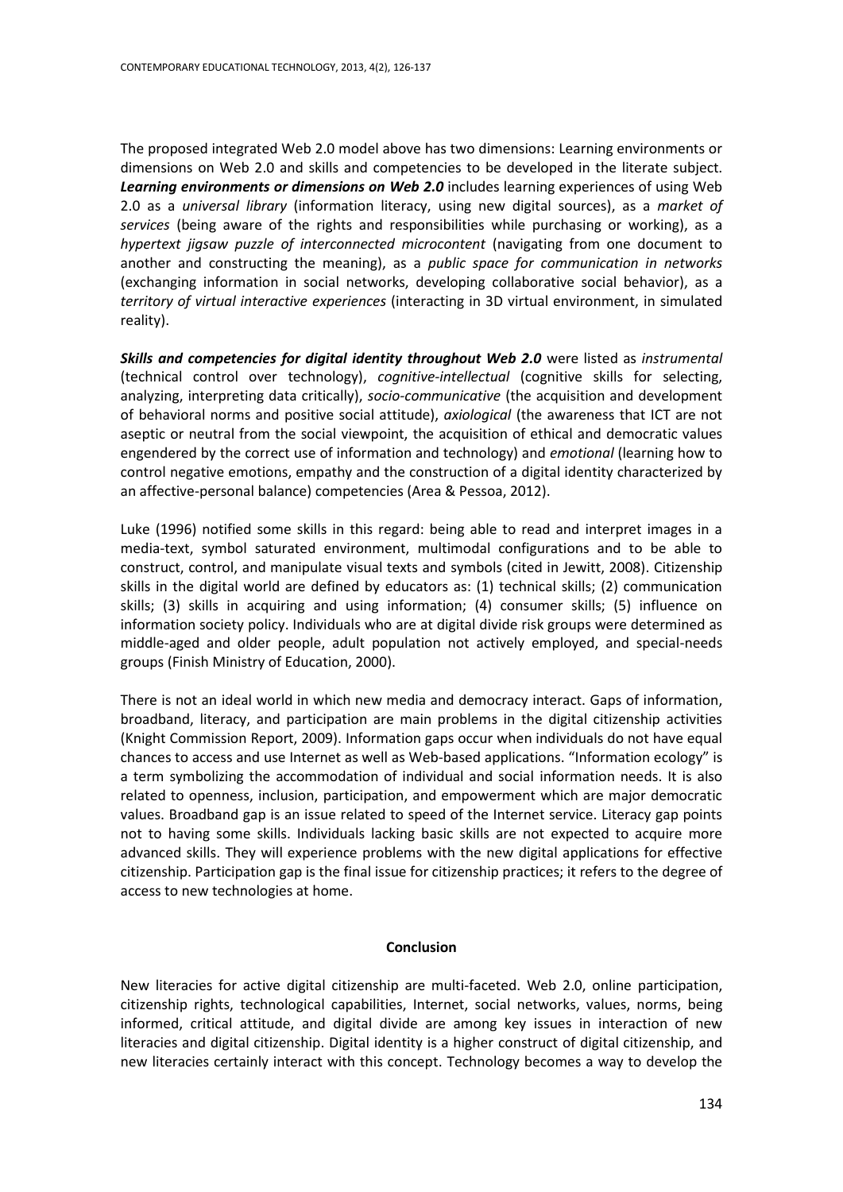The proposed integrated Web 2.0 model above has two dimensions: Learning environments or dimensions on Web 2.0 and skills and competencies to be developed in the literate subject. *Learning environments or dimensions on Web 2.0* includes learning experiences of using Web 2.0 as a *universal library* (information literacy, using new digital sources), as a *market of services* (being aware of the rights and responsibilities while purchasing or working), as a *hypertext jigsaw puzzle of interconnected microcontent* (navigating from one document to another and constructing the meaning), as a *public space for communication in networks* (exchanging information in social networks, developing collaborative social behavior), as a *territory of virtual interactive experiences* (interacting in 3D virtual environment, in simulated reality).

*Skills and competencies for digital identity throughout Web 2.0* were listed as *instrumental* (technical control over technology), *cognitive-intellectual* (cognitive skills for selecting, analyzing, interpreting data critically), *socio-communicative* (the acquisition and development of behavioral norms and positive social attitude), *axiological* (the awareness that ICT are not aseptic or neutral from the social viewpoint, the acquisition of ethical and democratic values engendered by the correct use of information and technology) and *emotional* (learning how to control negative emotions, empathy and the construction of a digital identity characterized by an affective-personal balance) competencies (Area & Pessoa, 2012).

Luke (1996) notified some skills in this regard: being able to read and interpret images in a media-text, symbol saturated environment, multimodal configurations and to be able to construct, control, and manipulate visual texts and symbols (cited in Jewitt, 2008). Citizenship skills in the digital world are defined by educators as: (1) technical skills; (2) communication skills; (3) skills in acquiring and using information; (4) consumer skills; (5) influence on information society policy. Individuals who are at digital divide risk groups were determined as middle-aged and older people, adult population not actively employed, and special-needs groups (Finish Ministry of Education, 2000).

There is not an ideal world in which new media and democracy interact. Gaps of information, broadband, literacy, and participation are main problems in the digital citizenship activities (Knight Commission Report, 2009). Information gaps occur when individuals do not have equal chances to access and use Internet as well as Web-based applications. "Information ecology" is a term symbolizing the accommodation of individual and social information needs. It is also related to openness, inclusion, participation, and empowerment which are major democratic values. Broadband gap is an issue related to speed of the Internet service. Literacy gap points not to having some skills. Individuals lacking basic skills are not expected to acquire more advanced skills. They will experience problems with the new digital applications for effective citizenship. Participation gap is the final issue for citizenship practices; it refers to the degree of access to new technologies at home.

#### **Conclusion**

New literacies for active digital citizenship are multi-faceted. Web 2.0, online participation, citizenship rights, technological capabilities, Internet, social networks, values, norms, being informed, critical attitude, and digital divide are among key issues in interaction of new literacies and digital citizenship. Digital identity is a higher construct of digital citizenship, and new literacies certainly interact with this concept. Technology becomes a way to develop the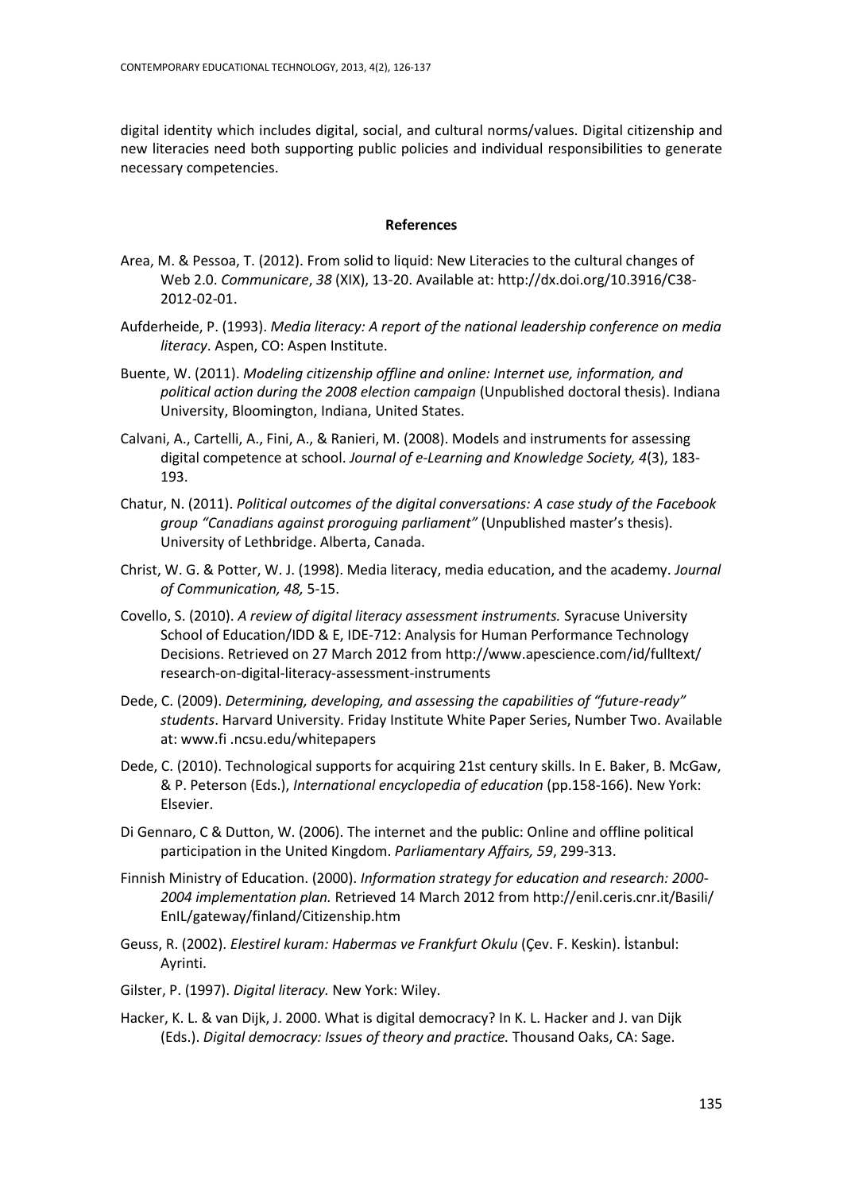digital identity which includes digital, social, and cultural norms/values. Digital citizenship and new literacies need both supporting public policies and individual responsibilities to generate necessary competencies.

#### **References**

- Area, M. & Pessoa, T. (2012). From solid to liquid: New Literacies to the cultural changes of Web 2.0. *Communicare*, *38* (XIX), 13-20. Available at: [http://dx.doi.org/10.3916/C38-](http://dx.doi.org/10.3916/C38-2012-02-01) [2012-02-01.](http://dx.doi.org/10.3916/C38-2012-02-01)
- Aufderheide, P. (1993). *Media literacy: A report of the national leadership conference on media literacy*. Aspen, CO: Aspen Institute.
- Buente, W. (2011). *Modeling citizenship offline and online: Internet use, information, and political action during the 2008 election campaign* (Unpublished doctoral thesis). Indiana University, Bloomington, Indiana, United States.
- Calvani, A., Cartelli, A., Fini, A., & Ranieri, M. (2008). Models and instruments for assessing digital competence at school. *Journal of e-Learning and Knowledge Society, 4*(3), 183- 193.
- Chatur, N. (2011). *Political outcomes of the digital conversations: A case study of the Facebook group "Canadians against proroguing parliament"* (Unpublished master's thesis). University of Lethbridge. Alberta, Canada.
- Christ, W. G. & Potter, W. J. (1998). Media literacy, media education, and the academy. *Journal of Communication, 48,* 5-15.
- Covello, S. (2010). *A review of digital literacy assessment instruments.* Syracuse University School of Education/IDD & E, IDE-712: Analysis for Human Performance Technology Decisions. Retrieved on 27 March 2012 fro[m http://www.apescience.com/id/fulltext/](http://www.apescience.com/id/fulltext/) research-on-digital-literacy-assessment-instruments
- Dede, C. (2009). *Determining, developing, and assessing the capabilities of "future-ready" students*. Harvard University. Friday Institute White Paper Series, Number Two. Available at: www.fi .ncsu.edu/whitepapers
- Dede, C. (2010). Technological supports for acquiring 21st century skills. In E. Baker, B. McGaw, & P. Peterson (Eds.), *International encyclopedia of education* (pp.158-166). New York: Elsevier.
- Di Gennaro, C & Dutton, W. (2006). The internet and the public: Online and offline political participation in the United Kingdom. *Parliamentary Affairs, 59*, 299-313.
- Finnish Ministry of Education. (2000). *Information strategy for education and research: 2000- 2004 implementation plan.* Retrieved 14 March 2012 from<http://enil.ceris.cnr.it/Basili/> EnIL/gateway/finland/Citizenship.htm
- Geuss, R. (2002). *Elestirel kuram: Habermas ve Frankfurt Okulu* (Çev. F. Keskin). İstanbul: Ayrinti.
- Gilster, P. (1997). *Digital literacy.* New York: Wiley.
- Hacker, K. L. & van Dijk, J. 2000. What is digital democracy? In K. L. Hacker and J. van Dijk (Eds.). *Digital democracy: Issues of theory and practice.* Thousand Oaks, CA: Sage.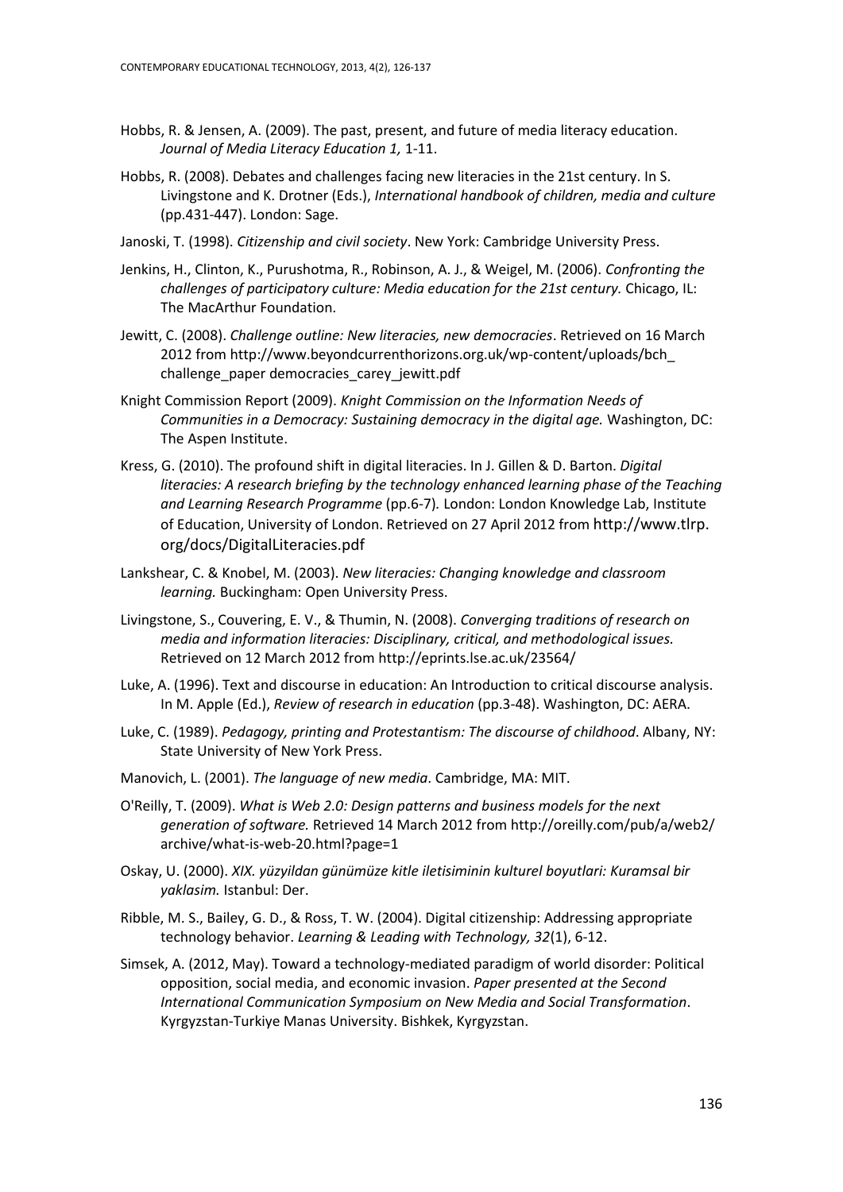- Hobbs, R. & Jensen, A. (2009). The past, present, and future of media literacy education. *Journal of Media Literacy Education 1,* 1-11.
- Hobbs, R. (2008). Debates and challenges facing new literacies in the 21st century. In S. Livingstone and K. Drotner (Eds.), *International handbook of children, media and culture*  (pp.431-447). London: Sage.
- Janoski, T. (1998). *Citizenship and civil society*. New York: Cambridge University Press.
- Jenkins, H., Clinton, K., Purushotma, R., Robinson, A. J., & Weigel, M. (2006). *Confronting the challenges of participatory culture: Media education for the 21st century.* Chicago, IL: The MacArthur Foundation.
- Jewitt, C. (2008). *Challenge outline: New literacies, new democracies*. Retrieved on 16 March 2012 fro[m http://www.beyondcurrenthorizons.org.uk/wp-content/uploads/bch\\_](http://www.beyondcurrenthorizons.org.uk/wp-content/uploads/bch_%20challenge_paper%20democracies_carey_jewitt.pdf)  [challenge\\_paper democracies\\_carey\\_jewitt.pdf](http://www.beyondcurrenthorizons.org.uk/wp-content/uploads/bch_%20challenge_paper%20democracies_carey_jewitt.pdf)
- Knight Commission Report (2009). *Knight Commission on the Information Needs of Communities in a Democracy: Sustaining democracy in the digital age.* Washington, DC: The Aspen Institute.
- Kress, G. (2010). The profound shift in digital literacies. In J. Gillen & D. Barton. *Digital literacies: A research briefing by the technology enhanced learning phase of the Teaching and Learning Research Programme* (pp.6-7)*.* London: London Knowledge Lab, Institute of Education, University of London. Retrieved on 27 April 2012 from http://www.tlrp. org/docs/DigitalLiteracies.pdf
- Lankshear, C. & Knobel, M. (2003). *New literacies: Changing knowledge and classroom learning.* Buckingham: Open University Press.
- Livingstone, S., Couvering, E. V., & Thumin, N. (2008). *Converging traditions of research on media and information literacies: Disciplinary, critical, and methodological issues.*  Retrieved on 12 March 2012 from<http://eprints.lse.ac.uk/23564/>
- Luke, A. (1996). Text and discourse in education: An Introduction to critical discourse analysis. In M. Apple (Ed.), *Review of research in education* (pp.3-48). Washington, DC: AERA.
- Luke, C. (1989). *Pedagogy, printing and Protestantism: The discourse of childhood*. Albany, NY: State University of New York Press.
- Manovich, L. (2001). *The language of new media*. Cambridge, MA: MIT.
- O'Reilly, T. (2009). *What is Web 2.0: Design patterns and business models for the next generation of software.* Retrieved 14 March 2012 fro[m http://oreilly.com/pub/a/web2/](http://oreilly.com/pub/a/web2/) archive/what-is-web-20.html?page=1
- Oskay, U. (2000). *XIX. yüzyildan günümüze kitle iletisiminin kulturel boyutlari: Kuramsal bir yaklasim.* Istanbul: Der.
- Ribble, M. S., Bailey, G. D., & Ross, T. W. (2004). Digital citizenship: Addressing appropriate technology behavior. *Learning & Leading with Technology, 32*(1), 6-12.
- Simsek, A. (2012, May). Toward a technology-mediated paradigm of world disorder: Political opposition, social media, and economic invasion. *Paper presented at the Second International Communication Symposium on New Media and Social Transformation*. Kyrgyzstan-Turkiye Manas University. Bishkek, Kyrgyzstan.